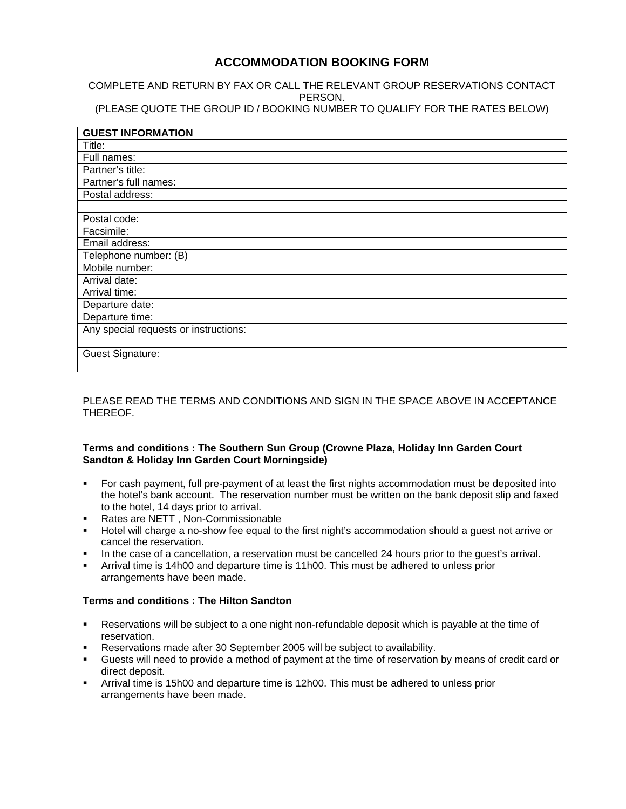# **ACCOMMODATION BOOKING FORM**

COMPLETE AND RETURN BY FAX OR CALL THE RELEVANT GROUP RESERVATIONS CONTACT PERSON.

(PLEASE QUOTE THE GROUP ID / BOOKING NUMBER TO QUALIFY FOR THE RATES BELOW)

| <b>GUEST INFORMATION</b>              |  |
|---------------------------------------|--|
| Title:                                |  |
| Full names:                           |  |
| Partner's title:                      |  |
| Partner's full names:                 |  |
| Postal address:                       |  |
|                                       |  |
| Postal code:                          |  |
| Facsimile:                            |  |
| Email address:                        |  |
| Telephone number: (B)                 |  |
| Mobile number:                        |  |
| Arrival date:                         |  |
| Arrival time:                         |  |
| Departure date:                       |  |
| Departure time:                       |  |
| Any special requests or instructions: |  |
|                                       |  |
| <b>Guest Signature:</b>               |  |
|                                       |  |

## PLEASE READ THE TERMS AND CONDITIONS AND SIGN IN THE SPACE ABOVE IN ACCEPTANCE THEREOF.

#### **Terms and conditions : The Southern Sun Group (Crowne Plaza, Holiday Inn Garden Court Sandton & Holiday Inn Garden Court Morningside)**

- For cash payment, full pre-payment of at least the first nights accommodation must be deposited into the hotel's bank account. The reservation number must be written on the bank deposit slip and faxed to the hotel, 14 days prior to arrival.
- Rates are NETT , Non-Commissionable
- Hotel will charge a no-show fee equal to the first night's accommodation should a guest not arrive or cancel the reservation.
- In the case of a cancellation, a reservation must be cancelled 24 hours prior to the guest's arrival.
- Arrival time is 14h00 and departure time is 11h00. This must be adhered to unless prior arrangements have been made.

## **Terms and conditions : The Hilton Sandton**

- Reservations will be subject to a one night non-refundable deposit which is payable at the time of reservation.
- Reservations made after 30 September 2005 will be subject to availability.
- Guests will need to provide a method of payment at the time of reservation by means of credit card or direct deposit.
- Arrival time is 15h00 and departure time is 12h00. This must be adhered to unless prior arrangements have been made.